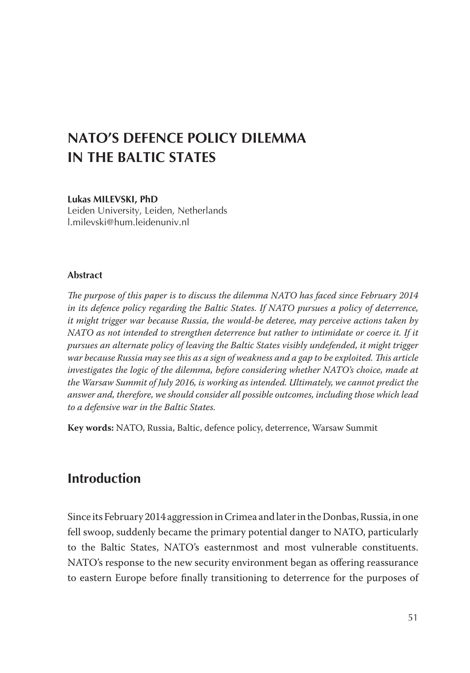# **NATO'S DEFENCE POLICY DILEMMA IN THE BALTIC STATES**

#### **Lukas Milevski, PhD**

Leiden University, Leiden, Netherlands l.milevski@hum.leidenuniv.nl

#### **Abstract**

*The purpose of this paper is to discuss the dilemma NATO has faced since February 2014 in its defence policy regarding the Baltic States. If NATO pursues a policy of deterrence, it might trigger war because Russia, the would-be deteree, may perceive actions taken by NATO as not intended to strengthen deterrence but rather to intimidate or coerce it. If it pursues an alternate policy of leaving the Baltic States visibly undefended, it might trigger war because Russia may see this as a sign of weakness and a gap to be exploited. This article investigates the logic of the dilemma, before considering whether NATO's choice, made at the Warsaw Summit of July 2016, is working as intended. Ultimately, we cannot predict the answer and, therefore, we should consider all possible outcomes, including those which lead to a defensive war in the Baltic States.*

**Key words:** NATO, Russia, Baltic, defence policy, deterrence, Warsaw Summit

### **Introduction**

Since its February 2014 aggression in Crimea and later in the Donbas, Russia, in one fell swoop, suddenly became the primary potential danger to NATO, particularly to the Baltic States, NATO's easternmost and most vulnerable constituents. NATO's response to the new security environment began as offering reassurance to eastern Europe before finally transitioning to deterrence for the purposes of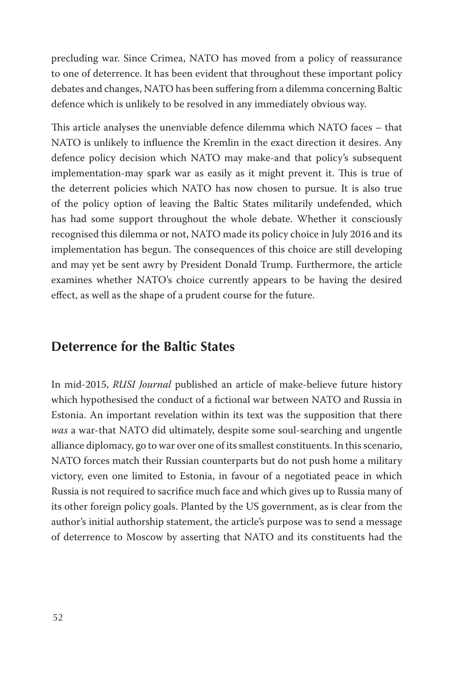precluding war. Since Crimea, NATO has moved from a policy of reassurance to one of deterrence. It has been evident that throughout these important policy debates and changes, NATO has been suffering from a dilemma concerning Baltic defence which is unlikely to be resolved in any immediately obvious way.

This article analyses the unenviable defence dilemma which NATO faces – that NATO is unlikely to influence the Kremlin in the exact direction it desires. Any defence policy decision which NATO may make-and that policy's subsequent implementation-may spark war as easily as it might prevent it. This is true of the deterrent policies which NATO has now chosen to pursue. It is also true of the policy option of leaving the Baltic States militarily undefended, which has had some support throughout the whole debate. Whether it consciously recognised this dilemma or not, NATO made its policy choice in July 2016 and its implementation has begun. The consequences of this choice are still developing and may yet be sent awry by President Donald Trump. Furthermore, the article examines whether NATO's choice currently appears to be having the desired effect, as well as the shape of a prudent course for the future.

# **Deterrence for the Baltic States**

In mid-2015, *RUSI Journal* published an article of make-believe future history which hypothesised the conduct of a fictional war between NATO and Russia in Estonia. An important revelation within its text was the supposition that there *was* a war-that NATO did ultimately, despite some soul-searching and ungentle alliance diplomacy, go to war over one of its smallest constituents. In this scenario, NATO forces match their Russian counterparts but do not push home a military victory, even one limited to Estonia, in favour of a negotiated peace in which Russia is not required to sacrifice much face and which gives up to Russia many of its other foreign policy goals. Planted by the US government, as is clear from the author's initial authorship statement, the article's purpose was to send a message of deterrence to Moscow by asserting that NATO and its constituents had the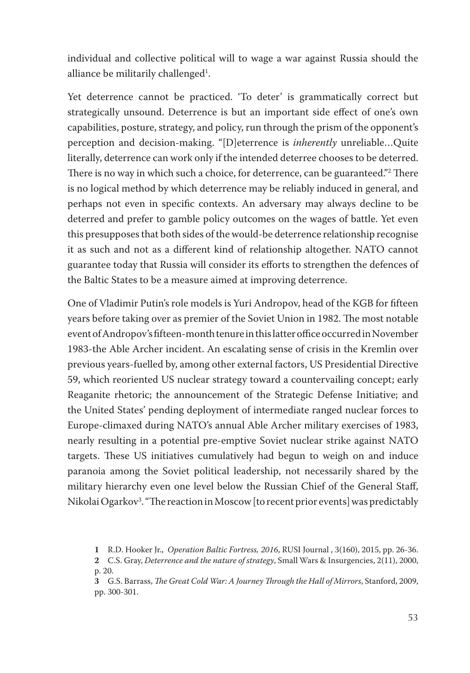individual and collective political will to wage a war against Russia should the alliance be militarily challenged $^1$ .

Yet deterrence cannot be practiced. 'To deter' is grammatically correct but strategically unsound. Deterrence is but an important side effect of one's own capabilities, posture, strategy, and policy, run through the prism of the opponent's perception and decision-making. "[D]eterrence is *inherently* unreliable…Quite literally, deterrence can work only if the intended deterree chooses to be deterred. There is no way in which such a choice, for deterrence, can be guaranteed."2 There is no logical method by which deterrence may be reliably induced in general, and perhaps not even in specific contexts. An adversary may always decline to be deterred and prefer to gamble policy outcomes on the wages of battle. Yet even this presupposes that both sides of the would-be deterrence relationship recognise it as such and not as a different kind of relationship altogether. NATO cannot guarantee today that Russia will consider its efforts to strengthen the defences of the Baltic States to be a measure aimed at improving deterrence.

One of Vladimir Putin's role models is Yuri Andropov, head of the KGB for fifteen years before taking over as premier of the Soviet Union in 1982. The most notable event of Andropov's fifteen-month tenure in this latter office occurred in November 1983-the Able Archer incident. An escalating sense of crisis in the Kremlin over previous years-fuelled by, among other external factors, US Presidential Directive 59, which reoriented US nuclear strategy toward a countervailing concept; early Reaganite rhetoric; the announcement of the Strategic Defense Initiative; and the United States' pending deployment of intermediate ranged nuclear forces to Europe-climaxed during NATO's annual Able Archer military exercises of 1983, nearly resulting in a potential pre-emptive Soviet nuclear strike against NATO targets. These US initiatives cumulatively had begun to weigh on and induce paranoia among the Soviet political leadership, not necessarily shared by the military hierarchy even one level below the Russian Chief of the General Staff, Nikolai Ogarkov3 . "The reaction in Moscow [to recent prior events] was predictably

R.D. Hooker Jr., *Operation Baltic Fortress, 2016*, RUSI Journal , 3(160), 2015, pp. 26-36.

C.S. Gray, *Deterrence and the nature of strategy*, Small Wars & Insurgencies, 2(11), 2000, p. 20.

G.S. Barrass, *The Great Cold War: A Journey Through the Hall of Mirrors*, Stanford, 2009, pp. 300-301.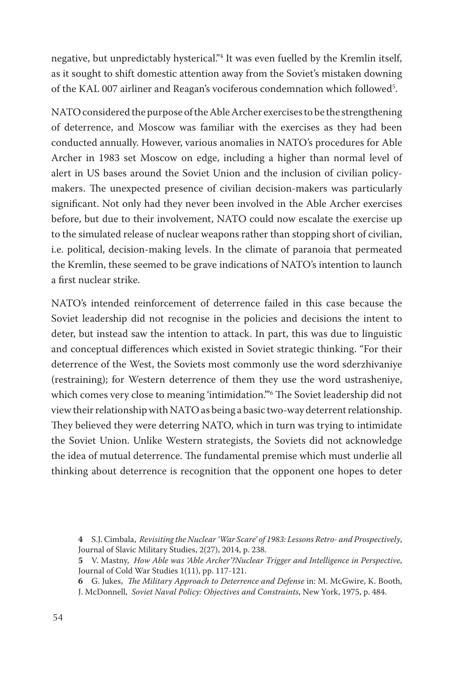negative, but unpredictably hysterical."4 It was even fuelled by the Kremlin itself, as it sought to shift domestic attention away from the Soviet's mistaken downing of the KAL 007 airliner and Reagan's vociferous condemnation which followed5 .

NATO considered the purpose of the Able Archer exercises to be the strengthening of deterrence, and Moscow was familiar with the exercises as they had been conducted annually. However, various anomalies in NATO's procedures for Able Archer in 1983 set Moscow on edge, including a higher than normal level of alert in US bases around the Soviet Union and the inclusion of civilian policymakers. The unexpected presence of civilian decision-makers was particularly significant. Not only had they never been involved in the Able Archer exercises before, but due to their involvement, NATO could now escalate the exercise up to the simulated release of nuclear weapons rather than stopping short of civilian, i.e. political, decision-making levels. In the climate of paranoia that permeated the Kremlin, these seemed to be grave indications of NATO's intention to launch a first nuclear strike.

NATO's intended reinforcement of deterrence failed in this case because the Soviet leadership did not recognise in the policies and decisions the intent to deter, but instead saw the intention to attack. In part, this was due to linguistic and conceptual differences which existed in Soviet strategic thinking. "For their deterrence of the West, the Soviets most commonly use the word sderzhivaniye (restraining); for Western deterrence of them they use the word ustrasheniye, which comes very close to meaning 'intimidation.'"6 The Soviet leadership did not view their relationship with NATO as being a basic two-way deterrent relationship. They believed they were deterring NATO, which in turn was trying to intimidate the Soviet Union. Unlike Western strategists, the Soviets did not acknowledge the idea of mutual deterrence. The fundamental premise which must underlie all thinking about deterrence is recognition that the opponent one hopes to deter

S.J. Cimbala, *Revisiting the Nuclear 'War Scare' of 1983: Lessons Retro- and Prospectively*, Journal of Slavic Military Studies, 2(27), 2014, p. 238.

V. Mastny, *How Able was 'Able Archer'?Nuclear Trigger and Intelligence in Perspective*, Journal of Cold War Studies 1(11), pp. 117-121.

G. Jukes, *The Military Approach to Deterrence and Defense* in: M. McGwire, K. Booth, J. McDonnell, *Soviet Naval Policy: Objectives and Constraints*, New York, 1975, p. 484.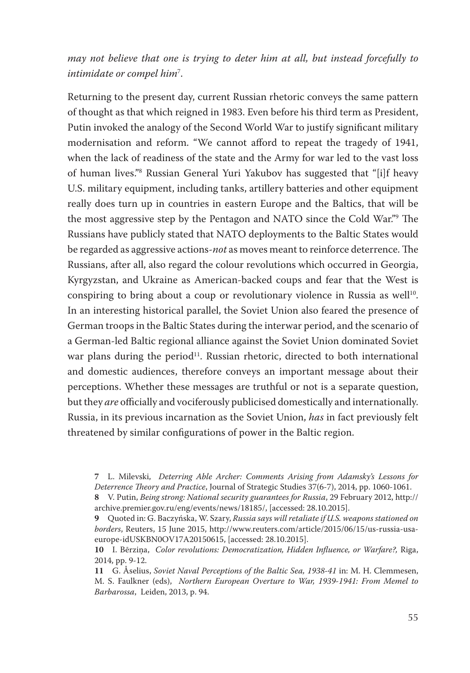### *may not believe that one is trying to deter him at all, but instead forcefully to intimidate or compel him*<sup>7</sup> .

Returning to the present day, current Russian rhetoric conveys the same pattern of thought as that which reigned in 1983. Even before his third term as President, Putin invoked the analogy of the Second World War to justify significant military modernisation and reform. "We cannot afford to repeat the tragedy of 1941, when the lack of readiness of the state and the Army for war led to the vast loss of human lives."8 Russian General Yuri Yakubov has suggested that "[i]f heavy U.S. military equipment, including tanks, artillery batteries and other equipment really does turn up in countries in eastern Europe and the Baltics, that will be the most aggressive step by the Pentagon and NATO since the Cold War."9 The Russians have publicly stated that NATO deployments to the Baltic States would be regarded as aggressive actions-*not* as moves meant to reinforce deterrence. The Russians, after all, also regard the colour revolutions which occurred in Georgia, Kyrgyzstan, and Ukraine as American-backed coups and fear that the West is conspiring to bring about a coup or revolutionary violence in Russia as well<sup>10</sup>. In an interesting historical parallel, the Soviet Union also feared the presence of German troops in the Baltic States during the interwar period, and the scenario of a German-led Baltic regional alliance against the Soviet Union dominated Soviet war plans during the period<sup>11</sup>. Russian rhetoric, directed to both international and domestic audiences, therefore conveys an important message about their perceptions. Whether these messages are truthful or not is a separate question, but they *are* officially and vociferously publicised domestically and internationally. Russia, in its previous incarnation as the Soviet Union, *has* in fact previously felt threatened by similar configurations of power in the Baltic region.

L. Milevski, *Deterring Able Archer: Comments Arising from Adamsky's Lessons for Deterrence Theory and Practice*, Journal of Strategic Studies 37(6-7), 2014, pp. 1060-1061.

V. Putin, *Being strong: National security guarantees for Russia*, 29 February 2012, http:// archive.premier.gov.ru/eng/events/news/18185/, [accessed: 28.10.2015].

Quoted in: G. Baczyńska, W. Szary, *Russia says will retaliate if U.S. weapons stationed on borders*, Reuters, 15 June 2015, http://www.reuters.com/article/2015/06/15/us-russia-usaeurope-idUSKBN0OV17A20150615, [accessed: 28.10.2015].

**<sup>10</sup>** I. Bērziņa, *Color revolutions: Democratization, Hidden Influence, or Warfare?,* Riga, 2014, pp. 9-12.

**<sup>11</sup>** G. Åselius, *Soviet Naval Perceptions of the Baltic Sea, 1938-41* in: M. H. Clemmesen, M. S. Faulkner (eds), *Northern European Overture to War, 1939-1941: From Memel to Barbarossa*, Leiden, 2013, p. 94.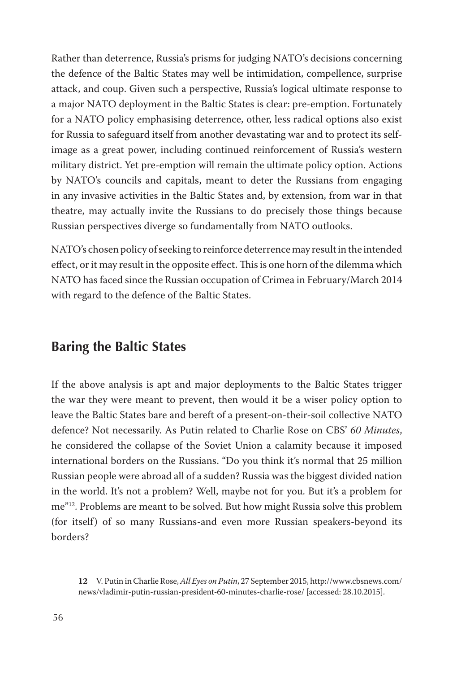Rather than deterrence, Russia's prisms for judging NATO's decisions concerning the defence of the Baltic States may well be intimidation, compellence, surprise attack, and coup. Given such a perspective, Russia's logical ultimate response to a major NATO deployment in the Baltic States is clear: pre-emption. Fortunately for a NATO policy emphasising deterrence, other, less radical options also exist for Russia to safeguard itself from another devastating war and to protect its selfimage as a great power, including continued reinforcement of Russia's western military district. Yet pre-emption will remain the ultimate policy option. Actions by NATO's councils and capitals, meant to deter the Russians from engaging in any invasive activities in the Baltic States and, by extension, from war in that theatre, may actually invite the Russians to do precisely those things because Russian perspectives diverge so fundamentally from NATO outlooks.

NATO's chosen policy of seeking to reinforce deterrence may result in the intended effect, or it may result in the opposite effect. This is one horn of the dilemma which NATO has faced since the Russian occupation of Crimea in February/March 2014 with regard to the defence of the Baltic States.

### **Baring the Baltic States**

If the above analysis is apt and major deployments to the Baltic States trigger the war they were meant to prevent, then would it be a wiser policy option to leave the Baltic States bare and bereft of a present-on-their-soil collective NATO defence? Not necessarily. As Putin related to Charlie Rose on CBS' *60 Minutes*, he considered the collapse of the Soviet Union a calamity because it imposed international borders on the Russians. "Do you think it's normal that 25 million Russian people were abroad all of a sudden? Russia was the biggest divided nation in the world. It's not a problem? Well, maybe not for you. But it's a problem for me"12. Problems are meant to be solved. But how might Russia solve this problem (for itself) of so many Russians-and even more Russian speakers-beyond its borders?

**<sup>12</sup>** V. Putin in Charlie Rose, *All Eyes on Putin*, 27 September 2015, http://www.cbsnews.com/ news/vladimir-putin-russian-president-60-minutes-charlie-rose/ [accessed: 28.10.2015].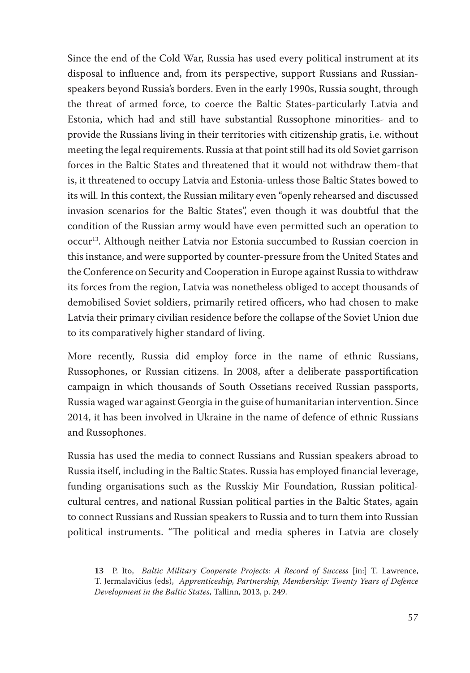Since the end of the Cold War, Russia has used every political instrument at its disposal to influence and, from its perspective, support Russians and Russianspeakers beyond Russia's borders. Even in the early 1990s, Russia sought, through the threat of armed force, to coerce the Baltic States-particularly Latvia and Estonia, which had and still have substantial Russophone minorities- and to provide the Russians living in their territories with citizenship gratis, i.e. without meeting the legal requirements. Russia at that point still had its old Soviet garrison forces in the Baltic States and threatened that it would not withdraw them-that is, it threatened to occupy Latvia and Estonia-unless those Baltic States bowed to its will. In this context, the Russian military even "openly rehearsed and discussed invasion scenarios for the Baltic States", even though it was doubtful that the condition of the Russian army would have even permitted such an operation to occur13. Although neither Latvia nor Estonia succumbed to Russian coercion in this instance, and were supported by counter-pressure from the United States and the Conference on Security and Cooperation in Europe against Russia to withdraw its forces from the region, Latvia was nonetheless obliged to accept thousands of demobilised Soviet soldiers, primarily retired officers, who had chosen to make Latvia their primary civilian residence before the collapse of the Soviet Union due to its comparatively higher standard of living.

More recently, Russia did employ force in the name of ethnic Russians, Russophones, or Russian citizens. In 2008, after a deliberate passportification campaign in which thousands of South Ossetians received Russian passports, Russia waged war against Georgia in the guise of humanitarian intervention. Since 2014, it has been involved in Ukraine in the name of defence of ethnic Russians and Russophones.

Russia has used the media to connect Russians and Russian speakers abroad to Russia itself, including in the Baltic States. Russia has employed financial leverage, funding organisations such as the Russkiy Mir Foundation, Russian politicalcultural centres, and national Russian political parties in the Baltic States, again to connect Russians and Russian speakers to Russia and to turn them into Russian political instruments. "The political and media spheres in Latvia are closely

**<sup>13</sup>** P. Ito, *Baltic Military Cooperate Projects: A Record of Success* [in:] T. Lawrence, T. Jermalavičius (eds), *Apprenticeship, Partnership, Membership: Twenty Years of Defence Development in the Baltic States*, Tallinn, 2013, p. 249.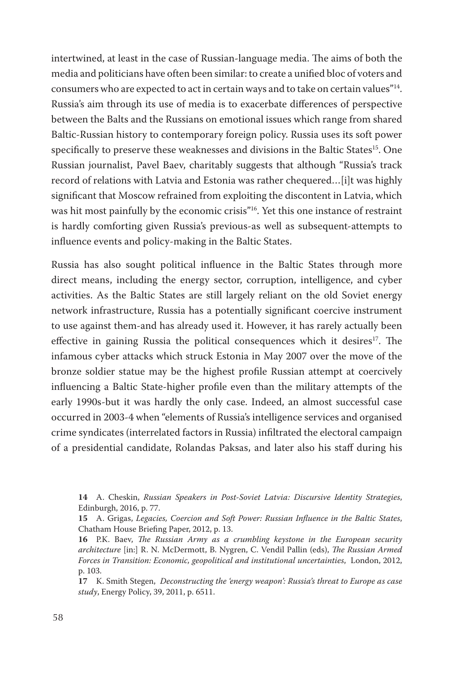intertwined, at least in the case of Russian-language media. The aims of both the media and politicians have often been similar: to create a unified bloc of voters and consumers who are expected to act in certain ways and to take on certain values"14. Russia's aim through its use of media is to exacerbate differences of perspective between the Balts and the Russians on emotional issues which range from shared Baltic-Russian history to contemporary foreign policy. Russia uses its soft power specifically to preserve these weaknesses and divisions in the Baltic States<sup>15</sup>. One Russian journalist, Pavel Baev, charitably suggests that although "Russia's track record of relations with Latvia and Estonia was rather chequered…[i]t was highly significant that Moscow refrained from exploiting the discontent in Latvia, which was hit most painfully by the economic crisis"<sup>16</sup>. Yet this one instance of restraint is hardly comforting given Russia's previous-as well as subsequent-attempts to influence events and policy-making in the Baltic States.

Russia has also sought political influence in the Baltic States through more direct means, including the energy sector, corruption, intelligence, and cyber activities. As the Baltic States are still largely reliant on the old Soviet energy network infrastructure, Russia has a potentially significant coercive instrument to use against them-and has already used it. However, it has rarely actually been effective in gaining Russia the political consequences which it desires<sup>17</sup>. The infamous cyber attacks which struck Estonia in May 2007 over the move of the bronze soldier statue may be the highest profile Russian attempt at coercively influencing a Baltic State-higher profile even than the military attempts of the early 1990s-but it was hardly the only case. Indeed, an almost successful case occurred in 2003-4 when "elements of Russia's intelligence services and organised crime syndicates (interrelated factors in Russia) infiltrated the electoral campaign of a presidential candidate, Rolandas Paksas, and later also his staff during his

**17** K. Smith Stegen, *Deconstructing the 'energy weapon': Russia's threat to Europe as case study*, Energy Policy, 39, 2011, p. 6511.

**<sup>14</sup>** A. Cheskin, *Russian Speakers in Post-Soviet Latvia: Discursive Identity Strategies*, Edinburgh, 2016, p. 77.

**<sup>15</sup>** A. Grigas, *Legacies, Coercion and Soft Power: Russian Influence in the Baltic States*, Chatham House Briefing Paper, 2012, p. 13.

**<sup>16</sup>** P.K. Baev, *The Russian Army as a crumbling keystone in the European security architecture* [in:] R. N. McDermott, B. Nygren, C. Vendil Pallin (eds), *The Russian Armed Forces in Transition: Economic, geopolitical and institutional uncertainties*, London, 2012, p. 103.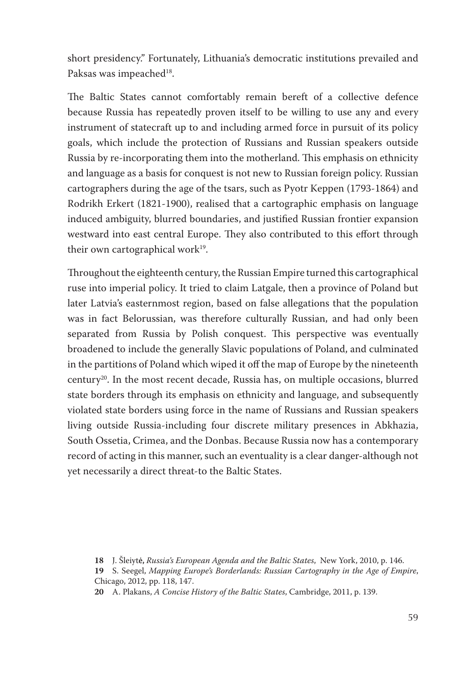short presidency." Fortunately, Lithuania's democratic institutions prevailed and Paksas was impeached<sup>18</sup>.

The Baltic States cannot comfortably remain bereft of a collective defence because Russia has repeatedly proven itself to be willing to use any and every instrument of statecraft up to and including armed force in pursuit of its policy goals, which include the protection of Russians and Russian speakers outside Russia by re-incorporating them into the motherland. This emphasis on ethnicity and language as a basis for conquest is not new to Russian foreign policy. Russian cartographers during the age of the tsars, such as Pyotr Keppen (1793-1864) and Rodrikh Erkert (1821-1900), realised that a cartographic emphasis on language induced ambiguity, blurred boundaries, and justified Russian frontier expansion westward into east central Europe. They also contributed to this effort through their own cartographical work $19$ .

Throughout the eighteenth century, the Russian Empire turned this cartographical ruse into imperial policy. It tried to claim Latgale, then a province of Poland but later Latvia's easternmost region, based on false allegations that the population was in fact Belorussian, was therefore culturally Russian, and had only been separated from Russia by Polish conquest. This perspective was eventually broadened to include the generally Slavic populations of Poland, and culminated in the partitions of Poland which wiped it off the map of Europe by the nineteenth century20. In the most recent decade, Russia has, on multiple occasions, blurred state borders through its emphasis on ethnicity and language, and subsequently violated state borders using force in the name of Russians and Russian speakers living outside Russia-including four discrete military presences in Abkhazia, South Ossetia, Crimea, and the Donbas. Because Russia now has a contemporary record of acting in this manner, such an eventuality is a clear danger-although not yet necessarily a direct threat-to the Baltic States.

**<sup>18</sup>** J. Šleiyt�ė, *Russia's European Agenda and the Baltic States*, New York, 2010, p. 146.

**<sup>19</sup>** S. Seegel, *Mapping Europe's Borderlands: Russian Cartography in the Age of Empire*, Chicago, 2012, pp. 118, 147.

**<sup>20</sup>** A. Plakans, *A Concise History of the Baltic States*, Cambridge, 2011, p. 139.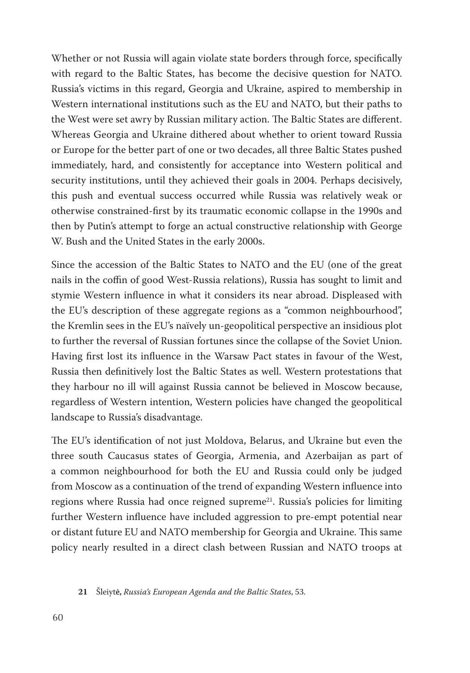Whether or not Russia will again violate state borders through force, specifically with regard to the Baltic States, has become the decisive question for NATO. Russia's victims in this regard, Georgia and Ukraine, aspired to membership in Western international institutions such as the EU and NATO, but their paths to the West were set awry by Russian military action. The Baltic States are different. Whereas Georgia and Ukraine dithered about whether to orient toward Russia or Europe for the better part of one or two decades, all three Baltic States pushed immediately, hard, and consistently for acceptance into Western political and security institutions, until they achieved their goals in 2004. Perhaps decisively, this push and eventual success occurred while Russia was relatively weak or otherwise constrained-first by its traumatic economic collapse in the 1990s and then by Putin's attempt to forge an actual constructive relationship with George W. Bush and the United States in the early 2000s.

Since the accession of the Baltic States to NATO and the EU (one of the great nails in the coffin of good West-Russia relations), Russia has sought to limit and stymie Western influence in what it considers its near abroad. Displeased with the EU's description of these aggregate regions as a "common neighbourhood", the Kremlin sees in the EU's naïvely un-geopolitical perspective an insidious plot to further the reversal of Russian fortunes since the collapse of the Soviet Union. Having first lost its influence in the Warsaw Pact states in favour of the West, Russia then definitively lost the Baltic States as well. Western protestations that they harbour no ill will against Russia cannot be believed in Moscow because, regardless of Western intention, Western policies have changed the geopolitical landscape to Russia's disadvantage.

The EU's identification of not just Moldova, Belarus, and Ukraine but even the three south Caucasus states of Georgia, Armenia, and Azerbaijan as part of a common neighbourhood for both the EU and Russia could only be judged from Moscow as a continuation of the trend of expanding Western influence into regions where Russia had once reigned supreme<sup>21</sup>. Russia's policies for limiting further Western influence have included aggression to pre-empt potential near or distant future EU and NATO membership for Georgia and Ukraine. This same policy nearly resulted in a direct clash between Russian and NATO troops at

**<sup>21</sup>** Šleiyt�ė, *Russia's European Agenda and the Baltic States*, 53.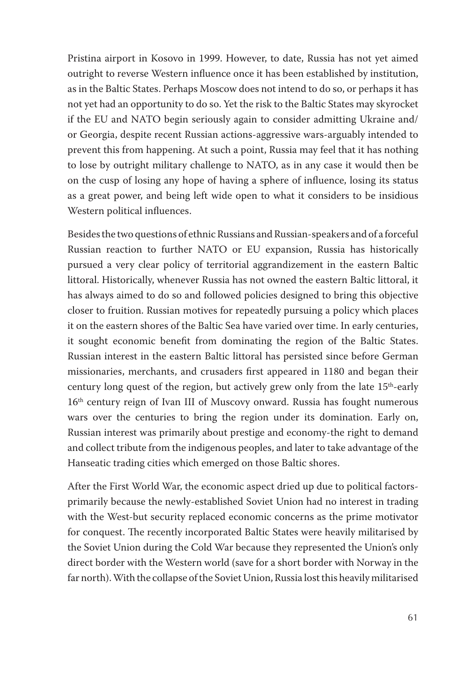Pristina airport in Kosovo in 1999. However, to date, Russia has not yet aimed outright to reverse Western influence once it has been established by institution, as in the Baltic States. Perhaps Moscow does not intend to do so, or perhaps it has not yet had an opportunity to do so. Yet the risk to the Baltic States may skyrocket if the EU and NATO begin seriously again to consider admitting Ukraine and/ or Georgia, despite recent Russian actions-aggressive wars-arguably intended to prevent this from happening. At such a point, Russia may feel that it has nothing to lose by outright military challenge to NATO, as in any case it would then be on the cusp of losing any hope of having a sphere of influence, losing its status as a great power, and being left wide open to what it considers to be insidious Western political influences.

Besides the two questions of ethnic Russians and Russian-speakers and of a forceful Russian reaction to further NATO or EU expansion, Russia has historically pursued a very clear policy of territorial aggrandizement in the eastern Baltic littoral. Historically, whenever Russia has not owned the eastern Baltic littoral, it has always aimed to do so and followed policies designed to bring this objective closer to fruition. Russian motives for repeatedly pursuing a policy which places it on the eastern shores of the Baltic Sea have varied over time. In early centuries, it sought economic benefit from dominating the region of the Baltic States. Russian interest in the eastern Baltic littoral has persisted since before German missionaries, merchants, and crusaders first appeared in 1180 and began their century long quest of the region, but actively grew only from the late  $15<sup>th</sup>$ -early 16<sup>th</sup> century reign of Ivan III of Muscovy onward. Russia has fought numerous wars over the centuries to bring the region under its domination. Early on, Russian interest was primarily about prestige and economy-the right to demand and collect tribute from the indigenous peoples, and later to take advantage of the Hanseatic trading cities which emerged on those Baltic shores.

After the First World War, the economic aspect dried up due to political factorsprimarily because the newly-established Soviet Union had no interest in trading with the West-but security replaced economic concerns as the prime motivator for conquest. The recently incorporated Baltic States were heavily militarised by the Soviet Union during the Cold War because they represented the Union's only direct border with the Western world (save for a short border with Norway in the far north). With the collapse of the Soviet Union, Russia lost this heavily militarised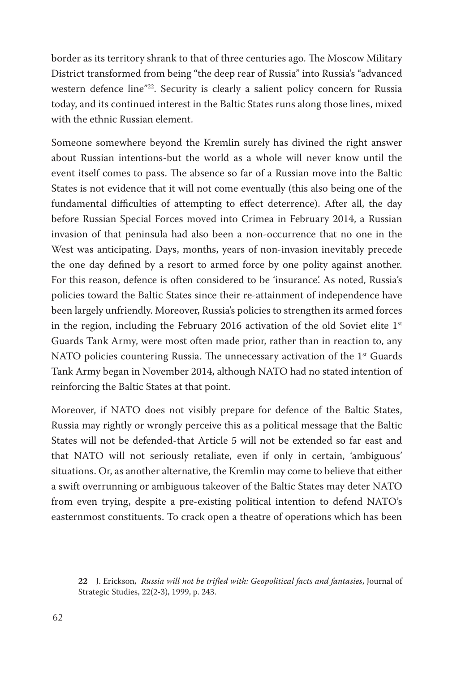border as its territory shrank to that of three centuries ago. The Moscow Military District transformed from being "the deep rear of Russia" into Russia's "advanced western defence line"<sup>22</sup>. Security is clearly a salient policy concern for Russia today, and its continued interest in the Baltic States runs along those lines, mixed with the ethnic Russian element.

Someone somewhere beyond the Kremlin surely has divined the right answer about Russian intentions-but the world as a whole will never know until the event itself comes to pass. The absence so far of a Russian move into the Baltic States is not evidence that it will not come eventually (this also being one of the fundamental difficulties of attempting to effect deterrence). After all, the day before Russian Special Forces moved into Crimea in February 2014, a Russian invasion of that peninsula had also been a non-occurrence that no one in the West was anticipating. Days, months, years of non-invasion inevitably precede the one day defined by a resort to armed force by one polity against another. For this reason, defence is often considered to be 'insurance'. As noted, Russia's policies toward the Baltic States since their re-attainment of independence have been largely unfriendly. Moreover, Russia's policies to strengthen its armed forces in the region, including the February 2016 activation of the old Soviet elite  $1<sup>st</sup>$ Guards Tank Army, were most often made prior, rather than in reaction to, any NATO policies countering Russia. The unnecessary activation of the  $1<sup>st</sup>$  Guards Tank Army began in November 2014, although NATO had no stated intention of reinforcing the Baltic States at that point.

Moreover, if NATO does not visibly prepare for defence of the Baltic States, Russia may rightly or wrongly perceive this as a political message that the Baltic States will not be defended-that Article 5 will not be extended so far east and that NATO will not seriously retaliate, even if only in certain, 'ambiguous' situations. Or, as another alternative, the Kremlin may come to believe that either a swift overrunning or ambiguous takeover of the Baltic States may deter NATO from even trying, despite a pre-existing political intention to defend NATO's easternmost constituents. To crack open a theatre of operations which has been

**<sup>22</sup>** J. Erickson, *Russia will not be trifled with: Geopolitical facts and fantasies*, Journal of Strategic Studies, 22(2-3), 1999, p. 243.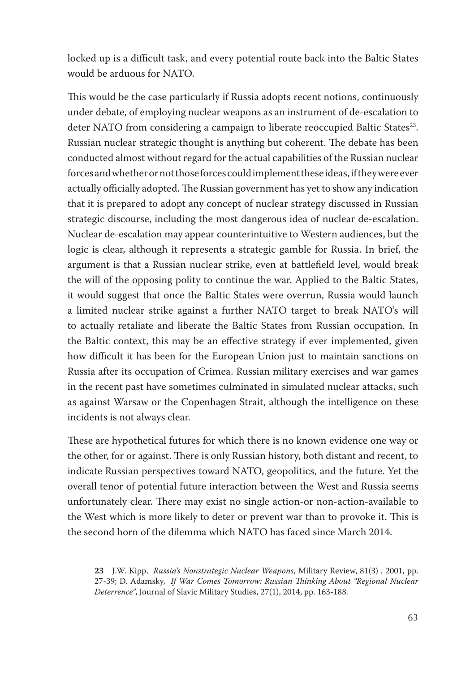locked up is a difficult task, and every potential route back into the Baltic States would be arduous for NATO.

This would be the case particularly if Russia adopts recent notions, continuously under debate, of employing nuclear weapons as an instrument of de-escalation to deter NATO from considering a campaign to liberate reoccupied Baltic States<sup>23</sup>. Russian nuclear strategic thought is anything but coherent. The debate has been conducted almost without regard for the actual capabilities of the Russian nuclear forces and whether or not those forces could implement these ideas, if they were ever actually officially adopted. The Russian government has yet to show any indication that it is prepared to adopt any concept of nuclear strategy discussed in Russian strategic discourse, including the most dangerous idea of nuclear de-escalation. Nuclear de-escalation may appear counterintuitive to Western audiences, but the logic is clear, although it represents a strategic gamble for Russia. In brief, the argument is that a Russian nuclear strike, even at battlefield level, would break the will of the opposing polity to continue the war. Applied to the Baltic States, it would suggest that once the Baltic States were overrun, Russia would launch a limited nuclear strike against a further NATO target to break NATO's will to actually retaliate and liberate the Baltic States from Russian occupation. In the Baltic context, this may be an effective strategy if ever implemented, given how difficult it has been for the European Union just to maintain sanctions on Russia after its occupation of Crimea. Russian military exercises and war games in the recent past have sometimes culminated in simulated nuclear attacks, such as against Warsaw or the Copenhagen Strait, although the intelligence on these incidents is not always clear.

These are hypothetical futures for which there is no known evidence one way or the other, for or against. There is only Russian history, both distant and recent, to indicate Russian perspectives toward NATO, geopolitics, and the future. Yet the overall tenor of potential future interaction between the West and Russia seems unfortunately clear. There may exist no single action-or non-action-available to the West which is more likely to deter or prevent war than to provoke it. This is the second horn of the dilemma which NATO has faced since March 2014.

**<sup>23</sup>** J.W. Kipp, *Russia's Nonstrategic Nuclear Weapons*, Military Review, 81(3) , 2001, pp. 27-39; D. Adamsky, *If War Comes Tomorrow: Russian Thinking About "Regional Nuclear Deterrence"*, Journal of Slavic Military Studies, 27(1), 2014, pp. 163-188.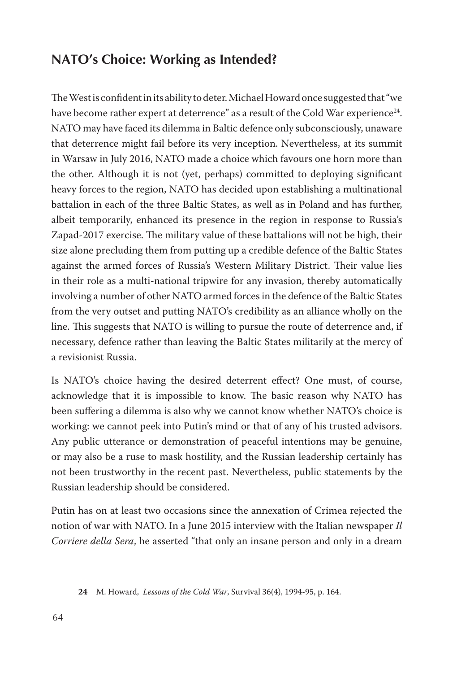# **NATO's Choice: Working as Intended?**

The West is confident in its ability to deter. Michael Howard once suggested that "we have become rather expert at deterrence" as a result of the Cold War experience<sup>24</sup>. NATO may have faced its dilemma in Baltic defence only subconsciously, unaware that deterrence might fail before its very inception. Nevertheless, at its summit in Warsaw in July 2016, NATO made a choice which favours one horn more than the other. Although it is not (yet, perhaps) committed to deploying significant heavy forces to the region, NATO has decided upon establishing a multinational battalion in each of the three Baltic States, as well as in Poland and has further, albeit temporarily, enhanced its presence in the region in response to Russia's Zapad-2017 exercise. The military value of these battalions will not be high, their size alone precluding them from putting up a credible defence of the Baltic States against the armed forces of Russia's Western Military District. Their value lies in their role as a multi-national tripwire for any invasion, thereby automatically involving a number of other NATO armed forces in the defence of the Baltic States from the very outset and putting NATO's credibility as an alliance wholly on the line. This suggests that NATO is willing to pursue the route of deterrence and, if necessary, defence rather than leaving the Baltic States militarily at the mercy of a revisionist Russia.

Is NATO's choice having the desired deterrent effect? One must, of course, acknowledge that it is impossible to know. The basic reason why NATO has been suffering a dilemma is also why we cannot know whether NATO's choice is working: we cannot peek into Putin's mind or that of any of his trusted advisors. Any public utterance or demonstration of peaceful intentions may be genuine, or may also be a ruse to mask hostility, and the Russian leadership certainly has not been trustworthy in the recent past. Nevertheless, public statements by the Russian leadership should be considered.

Putin has on at least two occasions since the annexation of Crimea rejected the notion of war with NATO. In a June 2015 interview with the Italian newspaper *Il Corriere della Sera*, he asserted "that only an insane person and only in a dream

**<sup>24</sup>** M. Howard, *Lessons of the Cold War*, Survival 36(4), 1994-95, p. 164.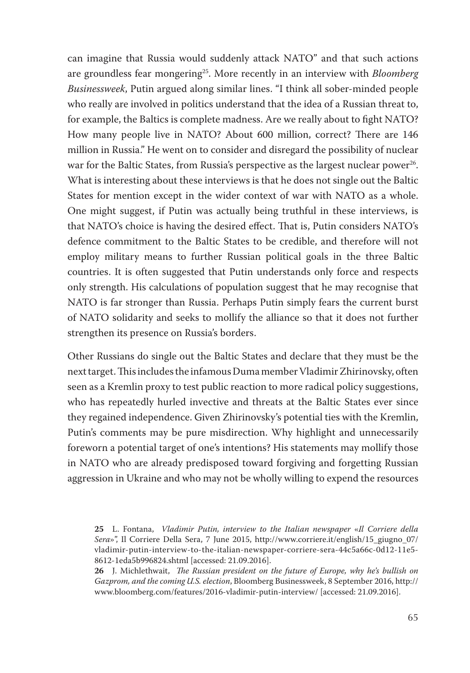can imagine that Russia would suddenly attack NATO" and that such actions are groundless fear mongering25. More recently in an interview with *Bloomberg Businessweek*, Putin argued along similar lines. "I think all sober-minded people who really are involved in politics understand that the idea of a Russian threat to, for example, the Baltics is complete madness. Are we really about to fight NATO? How many people live in NATO? About 600 million, correct? There are 146 million in Russia." He went on to consider and disregard the possibility of nuclear war for the Baltic States, from Russia's perspective as the largest nuclear power<sup>26</sup>. What is interesting about these interviews is that he does not single out the Baltic States for mention except in the wider context of war with NATO as a whole. One might suggest, if Putin was actually being truthful in these interviews, is that NATO's choice is having the desired effect. That is, Putin considers NATO's defence commitment to the Baltic States to be credible, and therefore will not employ military means to further Russian political goals in the three Baltic countries. It is often suggested that Putin understands only force and respects only strength. His calculations of population suggest that he may recognise that NATO is far stronger than Russia. Perhaps Putin simply fears the current burst of NATO solidarity and seeks to mollify the alliance so that it does not further strengthen its presence on Russia's borders.

Other Russians do single out the Baltic States and declare that they must be the next target. This includes the infamous Duma member Vladimir Zhirinovsky, often seen as a Kremlin proxy to test public reaction to more radical policy suggestions, who has repeatedly hurled invective and threats at the Baltic States ever since they regained independence. Given Zhirinovsky's potential ties with the Kremlin, Putin's comments may be pure misdirection. Why highlight and unnecessarily foreworn a potential target of one's intentions? His statements may mollify those in NATO who are already predisposed toward forgiving and forgetting Russian aggression in Ukraine and who may not be wholly willing to expend the resources

**26** J. Michlethwait, *The Russian president on the future of Europe, why he's bullish on Gazprom, and the coming U.S. election*, Bloomberg Businessweek, 8 September 2016, http:// www.bloomberg.com/features/2016-vladimir-putin-interview/ [accessed: 21.09.2016].

**<sup>25</sup>** L. Fontana, *Vladimir Putin, interview to the Italian newspaper* «*Il Corriere della Sera*»", Il Corriere Della Sera, 7 June 2015, http://www.corriere.it/english/15\_giugno\_07/ vladimir-putin-interview-to-the-italian-newspaper-corriere-sera-44c5a66c-0d12-11e5- 8612-1eda5b996824.shtml [accessed: 21.09.2016].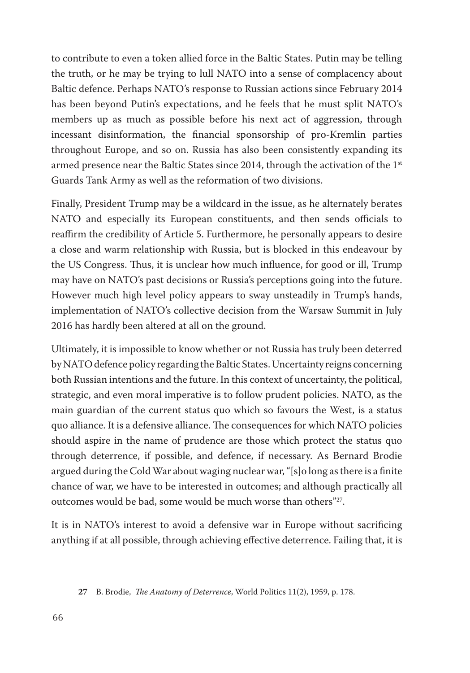to contribute to even a token allied force in the Baltic States. Putin may be telling the truth, or he may be trying to lull NATO into a sense of complacency about Baltic defence. Perhaps NATO's response to Russian actions since February 2014 has been beyond Putin's expectations, and he feels that he must split NATO's members up as much as possible before his next act of aggression, through incessant disinformation, the financial sponsorship of pro-Kremlin parties throughout Europe, and so on. Russia has also been consistently expanding its armed presence near the Baltic States since 2014, through the activation of the  $1<sup>st</sup>$ Guards Tank Army as well as the reformation of two divisions.

Finally, President Trump may be a wildcard in the issue, as he alternately berates NATO and especially its European constituents, and then sends officials to reaffirm the credibility of Article 5. Furthermore, he personally appears to desire a close and warm relationship with Russia, but is blocked in this endeavour by the US Congress. Thus, it is unclear how much influence, for good or ill, Trump may have on NATO's past decisions or Russia's perceptions going into the future. However much high level policy appears to sway unsteadily in Trump's hands, implementation of NATO's collective decision from the Warsaw Summit in July 2016 has hardly been altered at all on the ground.

Ultimately, it is impossible to know whether or not Russia has truly been deterred by NATO defence policy regarding the Baltic States. Uncertainty reigns concerning both Russian intentions and the future. In this context of uncertainty, the political, strategic, and even moral imperative is to follow prudent policies. NATO, as the main guardian of the current status quo which so favours the West, is a status quo alliance. It is a defensive alliance. The consequences for which NATO policies should aspire in the name of prudence are those which protect the status quo through deterrence, if possible, and defence, if necessary. As Bernard Brodie argued during the Cold War about waging nuclear war, "[s]o long as there is a finite chance of war, we have to be interested in outcomes; and although practically all outcomes would be bad, some would be much worse than others"27.

It is in NATO's interest to avoid a defensive war in Europe without sacrificing anything if at all possible, through achieving effective deterrence. Failing that, it is

**<sup>27</sup>** B. Brodie, *The Anatomy of Deterrence*, World Politics 11(2), 1959, p. 178.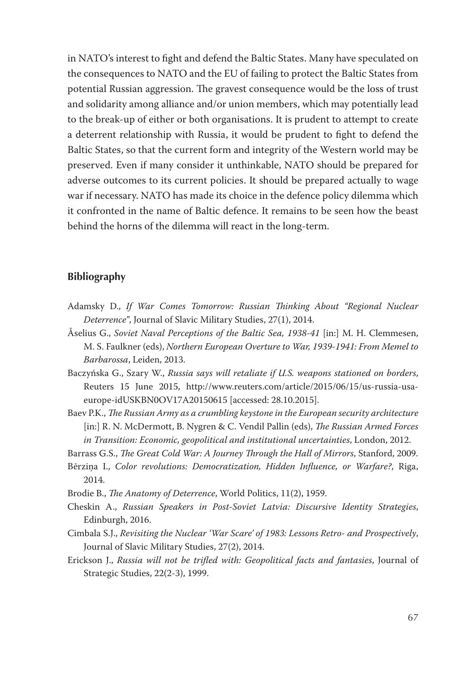in NATO's interest to fight and defend the Baltic States. Many have speculated on the consequences to NATO and the EU of failing to protect the Baltic States from potential Russian aggression. The gravest consequence would be the loss of trust and solidarity among alliance and/or union members, which may potentially lead to the break-up of either or both organisations. It is prudent to attempt to create a deterrent relationship with Russia, it would be prudent to fight to defend the Baltic States, so that the current form and integrity of the Western world may be preserved. Even if many consider it unthinkable, NATO should be prepared for adverse outcomes to its current policies. It should be prepared actually to wage war if necessary. NATO has made its choice in the defence policy dilemma which it confronted in the name of Baltic defence. It remains to be seen how the beast behind the horns of the dilemma will react in the long-term.

#### **Bibliography**

- Adamsky D., *If War Comes Tomorrow: Russian Thinking About "Regional Nuclear Deterrence"*, Journal of Slavic Military Studies, 27(1), 2014.
- Åselius G., *Soviet Naval Perceptions of the Baltic Sea, 1938-41* [in:] M. H. Clemmesen, M. S. Faulkner (eds), *Northern European Overture to War, 1939-1941: From Memel to Barbarossa*, Leiden, 2013.
- Baczyńska G., Szary W., *Russia says will retaliate if U.S. weapons stationed on borders*, Reuters 15 June 2015, http://www.reuters.com/article/2015/06/15/us-russia-usaeurope-idUSKBN0OV17A20150615 [accessed: 28.10.2015].
- Baev P.K., *The Russian Army as a crumbling keystone in the European security architecture* [in:] R. N. McDermott, B. Nygren & C. Vendil Pallin (eds), *The Russian Armed Forces in Transition: Economic, geopolitical and institutional uncertainties*, London, 2012.
- Barrass G.S., *The Great Cold War: A Journey Through the Hall of Mirrors*, Stanford, 2009.
- Bērziņa I., *Color revolutions: Democratization, Hidden Influence, or Warfare?*, Riga, 2014.
- Brodie B., *The Anatomy of Deterrence*, World Politics, 11(2), 1959.
- Cheskin A., *Russian Speakers in Post-Soviet Latvia: Discursive Identity Strategies*, Edinburgh, 2016.
- Cimbala S.J., *Revisiting the Nuclear 'War Scare' of 1983: Lessons Retro- and Prospectively*, Journal of Slavic Military Studies, 27(2), 2014.
- Erickson J., *Russia will not be trifled with: Geopolitical facts and fantasies*, Journal of Strategic Studies, 22(2-3), 1999.